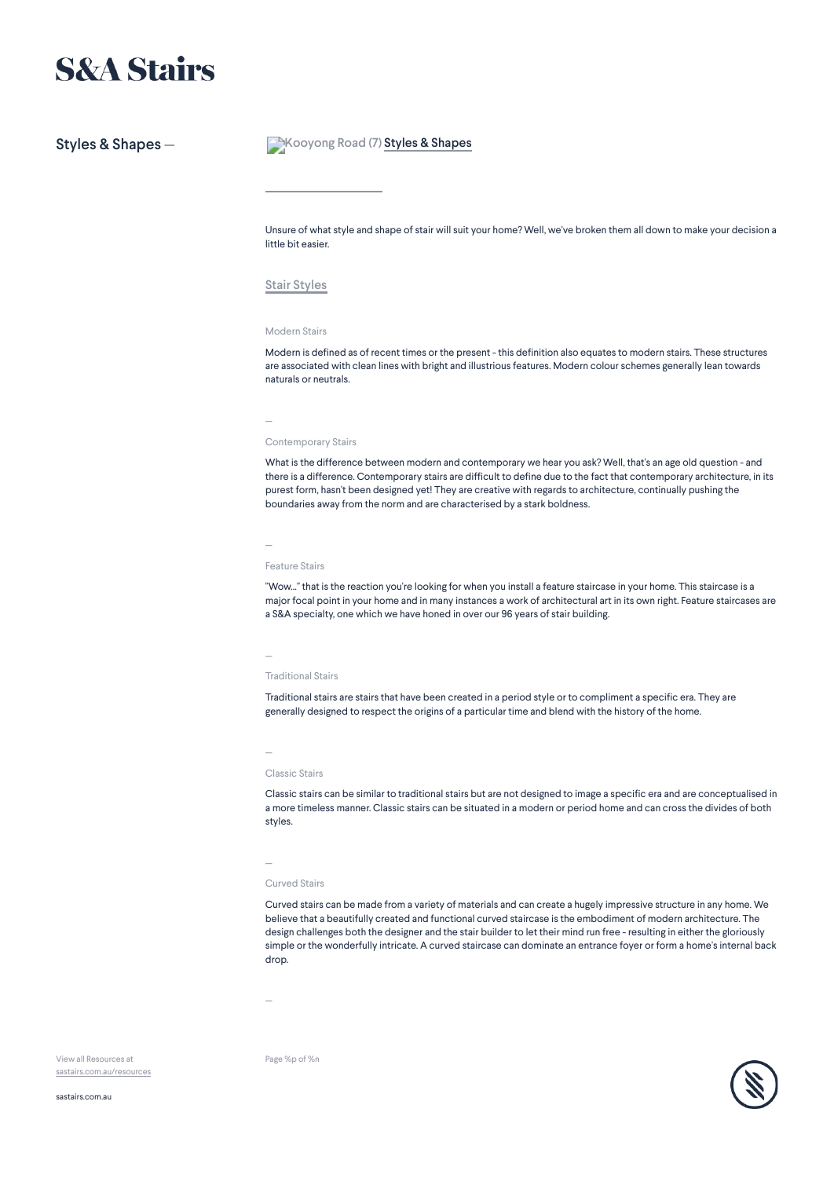# **S&A Stairs**

### Styles & Shapes — **[Kooyong Road \(7\)](http://au.com.sastairs:8888/wp-content/uploads/2016/02/Kooyong-Road-7.jpg)** Styles & Shapes

Unsure of what style and shape of stair will suit your home? Well, we've broken them all down to make your decision a little bit easier.

#### Stair Styles

#### Modern Stairs

Modern is defined as of recent times or the present - this definition also equates to modern stairs. These structures are associated with clean lines with bright and illustrious features. Modern colour schemes generally lean towards naturals or neutrals.

#### Contemporary Stairs

—

What is the difference between modern and contemporary we hear you ask? Well, that's an age old question - and there is a difference. Contemporary stairs are difficult to define due to the fact that contemporary architecture, in its purest form, hasn't been designed yet! They are creative with regards to architecture, continually pushing the boundaries away from the norm and are characterised by a stark boldness.

# —

#### Feature Stairs

"Wow..." that is the reaction you're looking for when you install a feature staircase in your home. This staircase is a major focal point in your home and in many instances a work of architectural art in its own right. Feature staircases are a S&A specialty, one which we have honed in over our 96 years of stair building.

#### —

#### Traditional Stairs

Traditional stairs are stairs that have been created in a period style or to compliment a specific era. They are generally designed to respect the origins of a particular time and blend with the history of the home.

—

#### Classic Stairs

Classic stairs can be similar to traditional stairs but are not designed to image a specific era and are conceptualised in a more timeless manner. Classic stairs can be situated in a modern or period home and can cross the divides of both styles.

#### —

#### Curved Stairs

Curved stairs can be made from a variety of materials and can create a hugely impressive structure in any home. We believe that a beautifully created and functional curved staircase is the embodiment of modern architecture. The design challenges both the designer and the stair builder to let their mind run free - resulting in either the gloriously simple or the wonderfully intricate. A curved staircase can dominate an entrance foyer or form a home's internal back drop.

—

Page %p of %n

View all Resources at [sastairs.com.au/resources](https://sastairs.com.au/)